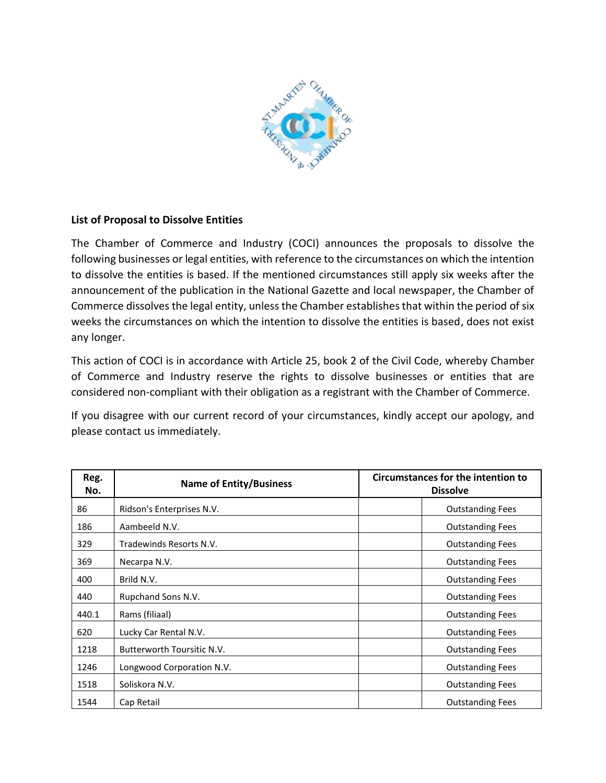

## **List of Proposal to Dissolve Entities**

The Chamber of Commerce and Industry (COCI) announces the proposals to dissolve the following businesses or legal entities, with reference to the circumstances on which the intention to dissolve the entities is based. If the mentioned circumstances still apply six weeks after the announcement of the publication in the National Gazette and local newspaper, the Chamber of Commerce dissolves the legal entity, unless the Chamber establishes that within the period of six weeks the circumstances on which the intention to dissolve the entities is based, does not exist any longer.

This action of COCI is in accordance with Article 25, book 2 of the Civil Code, whereby Chamber of Commerce and Industry reserve the rights to dissolve businesses or entities that are considered non-compliant with their obligation as a registrant with the Chamber of Commerce.

If you disagree with our current record of your circumstances, kindly accept our apology, and please contact us immediately.

| Reg.<br>No. | <b>Name of Entity/Business</b> | Circumstances for the intention to<br><b>Dissolve</b> |
|-------------|--------------------------------|-------------------------------------------------------|
| 86          | Ridson's Enterprises N.V.      | <b>Outstanding Fees</b>                               |
| 186         | Aambeeld N.V.                  | <b>Outstanding Fees</b>                               |
| 329         | Tradewinds Resorts N.V.        | <b>Outstanding Fees</b>                               |
| 369         | Necarpa N.V.                   | <b>Outstanding Fees</b>                               |
| 400         | Brild N.V.                     | <b>Outstanding Fees</b>                               |
| 440         | Rupchand Sons N.V.             | <b>Outstanding Fees</b>                               |
| 440.1       | Rams (filiaal)                 | <b>Outstanding Fees</b>                               |
| 620         | Lucky Car Rental N.V.          | <b>Outstanding Fees</b>                               |
| 1218        | Butterworth Toursitic N.V.     | <b>Outstanding Fees</b>                               |
| 1246        | Longwood Corporation N.V.      | <b>Outstanding Fees</b>                               |
| 1518        | Soliskora N.V.                 | <b>Outstanding Fees</b>                               |
| 1544        | Cap Retail                     | <b>Outstanding Fees</b>                               |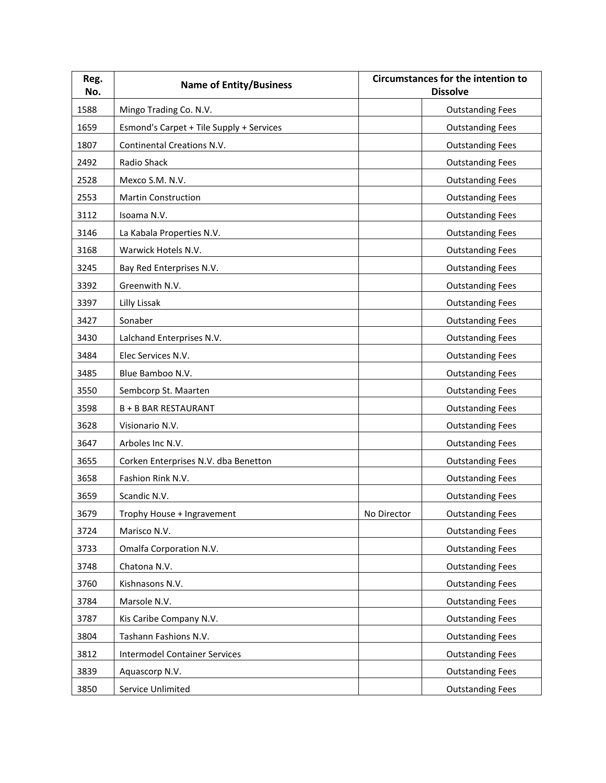| Reg.<br>No. | <b>Name of Entity/Business</b>           |             | <b>Circumstances for the intention to</b><br><b>Dissolve</b> |
|-------------|------------------------------------------|-------------|--------------------------------------------------------------|
| 1588        | Mingo Trading Co. N.V.                   |             | <b>Outstanding Fees</b>                                      |
| 1659        | Esmond's Carpet + Tile Supply + Services |             | <b>Outstanding Fees</b>                                      |
| 1807        | <b>Continental Creations N.V.</b>        |             | <b>Outstanding Fees</b>                                      |
| 2492        | Radio Shack                              |             | <b>Outstanding Fees</b>                                      |
| 2528        | Mexco S.M. N.V.                          |             | <b>Outstanding Fees</b>                                      |
| 2553        | <b>Martin Construction</b>               |             | <b>Outstanding Fees</b>                                      |
| 3112        | Isoama N.V.                              |             | <b>Outstanding Fees</b>                                      |
| 3146        | La Kabala Properties N.V.                |             | <b>Outstanding Fees</b>                                      |
| 3168        | Warwick Hotels N.V.                      |             | <b>Outstanding Fees</b>                                      |
| 3245        | Bay Red Enterprises N.V.                 |             | <b>Outstanding Fees</b>                                      |
| 3392        | Greenwith N.V.                           |             | <b>Outstanding Fees</b>                                      |
| 3397        | Lilly Lissak                             |             | <b>Outstanding Fees</b>                                      |
| 3427        | Sonaber                                  |             | <b>Outstanding Fees</b>                                      |
| 3430        | Lalchand Enterprises N.V.                |             | <b>Outstanding Fees</b>                                      |
| 3484        | Elec Services N.V.                       |             | <b>Outstanding Fees</b>                                      |
| 3485        | Blue Bamboo N.V.                         |             | <b>Outstanding Fees</b>                                      |
| 3550        | Sembcorp St. Maarten                     |             | <b>Outstanding Fees</b>                                      |
| 3598        | <b>B + B BAR RESTAURANT</b>              |             | <b>Outstanding Fees</b>                                      |
| 3628        | Visionario N.V.                          |             | <b>Outstanding Fees</b>                                      |
| 3647        | Arboles Inc N.V.                         |             | <b>Outstanding Fees</b>                                      |
| 3655        | Corken Enterprises N.V. dba Benetton     |             | <b>Outstanding Fees</b>                                      |
| 3658        | Fashion Rink N.V.                        |             | <b>Outstanding Fees</b>                                      |
| 3659        | Scandic N.V.                             |             | <b>Outstanding Fees</b>                                      |
| 3679        | Trophy House + Ingravement               | No Director | <b>Outstanding Fees</b>                                      |
| 3724        | Marisco N.V.                             |             | <b>Outstanding Fees</b>                                      |
| 3733        | Omalfa Corporation N.V.                  |             | <b>Outstanding Fees</b>                                      |
| 3748        | Chatona N.V.                             |             | <b>Outstanding Fees</b>                                      |
| 3760        | Kishnasons N.V.                          |             | <b>Outstanding Fees</b>                                      |
| 3784        | Marsole N.V.                             |             | <b>Outstanding Fees</b>                                      |
| 3787        | Kis Caribe Company N.V.                  |             | <b>Outstanding Fees</b>                                      |
| 3804        | Tashann Fashions N.V.                    |             | <b>Outstanding Fees</b>                                      |
| 3812        | <b>Intermodel Container Services</b>     |             | <b>Outstanding Fees</b>                                      |
| 3839        | Aquascorp N.V.                           |             | <b>Outstanding Fees</b>                                      |
| 3850        | Service Unlimited                        |             | <b>Outstanding Fees</b>                                      |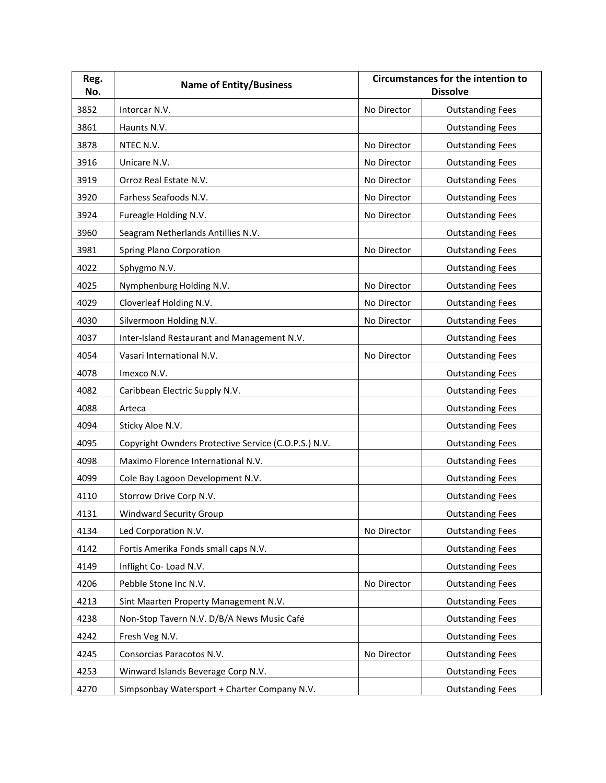| Reg.<br>No. | <b>Name of Entity/Business</b>                       |             | <b>Circumstances for the intention to</b><br><b>Dissolve</b> |
|-------------|------------------------------------------------------|-------------|--------------------------------------------------------------|
| 3852        | Intorcar N.V.                                        | No Director | <b>Outstanding Fees</b>                                      |
| 3861        | Haunts N.V.                                          |             | <b>Outstanding Fees</b>                                      |
| 3878        | NTEC N.V.                                            | No Director | <b>Outstanding Fees</b>                                      |
| 3916        | Unicare N.V.                                         | No Director | <b>Outstanding Fees</b>                                      |
| 3919        | Orroz Real Estate N.V.                               | No Director | <b>Outstanding Fees</b>                                      |
| 3920        | Farhess Seafoods N.V.                                | No Director | <b>Outstanding Fees</b>                                      |
| 3924        | Fureagle Holding N.V.                                | No Director | <b>Outstanding Fees</b>                                      |
| 3960        | Seagram Netherlands Antillies N.V.                   |             | <b>Outstanding Fees</b>                                      |
| 3981        | Spring Plano Corporation                             | No Director | <b>Outstanding Fees</b>                                      |
| 4022        | Sphygmo N.V.                                         |             | <b>Outstanding Fees</b>                                      |
| 4025        | Nymphenburg Holding N.V.                             | No Director | <b>Outstanding Fees</b>                                      |
| 4029        | Cloverleaf Holding N.V.                              | No Director | <b>Outstanding Fees</b>                                      |
| 4030        | Silvermoon Holding N.V.                              | No Director | <b>Outstanding Fees</b>                                      |
| 4037        | Inter-Island Restaurant and Management N.V.          |             | <b>Outstanding Fees</b>                                      |
| 4054        | Vasari International N.V.                            | No Director | <b>Outstanding Fees</b>                                      |
| 4078        | Imexco N.V.                                          |             | <b>Outstanding Fees</b>                                      |
| 4082        | Caribbean Electric Supply N.V.                       |             | <b>Outstanding Fees</b>                                      |
| 4088        | Arteca                                               |             | <b>Outstanding Fees</b>                                      |
| 4094        | Sticky Aloe N.V.                                     |             | <b>Outstanding Fees</b>                                      |
| 4095        | Copyright Ownders Protective Service (C.O.P.S.) N.V. |             | <b>Outstanding Fees</b>                                      |
| 4098        | Maximo Florence International N.V.                   |             | <b>Outstanding Fees</b>                                      |
| 4099        | Cole Bay Lagoon Development N.V.                     |             | <b>Outstanding Fees</b>                                      |
| 4110        | Storrow Drive Corp N.V.                              |             | <b>Outstanding Fees</b>                                      |
| 4131        | <b>Windward Security Group</b>                       |             | <b>Outstanding Fees</b>                                      |
| 4134        | Led Corporation N.V.                                 | No Director | <b>Outstanding Fees</b>                                      |
| 4142        | Fortis Amerika Fonds small caps N.V.                 |             | <b>Outstanding Fees</b>                                      |
| 4149        | Inflight Co-Load N.V.                                |             | <b>Outstanding Fees</b>                                      |
| 4206        | Pebble Stone Inc N.V.                                | No Director | <b>Outstanding Fees</b>                                      |
| 4213        | Sint Maarten Property Management N.V.                |             | <b>Outstanding Fees</b>                                      |
| 4238        | Non-Stop Tavern N.V. D/B/A News Music Café           |             | <b>Outstanding Fees</b>                                      |
| 4242        | Fresh Veg N.V.                                       |             | <b>Outstanding Fees</b>                                      |
| 4245        | Consorcias Paracotos N.V.                            | No Director | <b>Outstanding Fees</b>                                      |
| 4253        | Winward Islands Beverage Corp N.V.                   |             | <b>Outstanding Fees</b>                                      |
| 4270        | Simpsonbay Watersport + Charter Company N.V.         |             | <b>Outstanding Fees</b>                                      |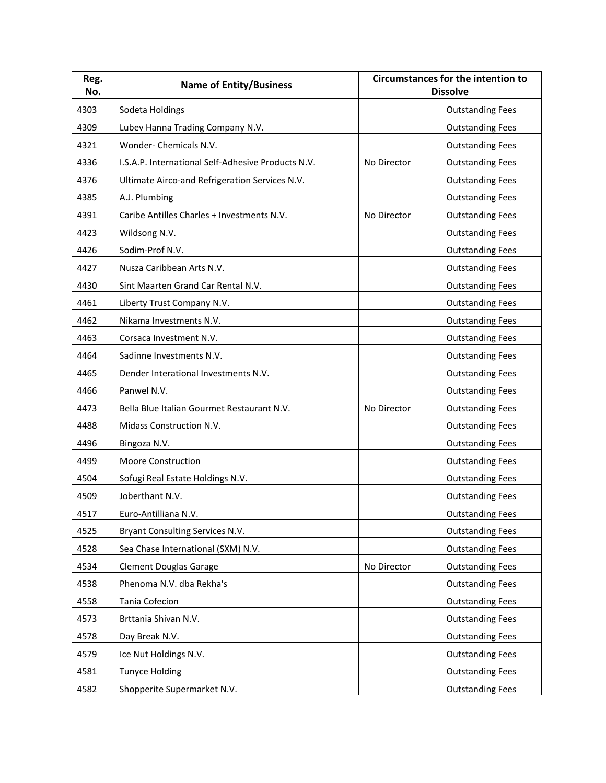| Reg.<br>No. | <b>Name of Entity/Business</b>                     |             | <b>Circumstances for the intention to</b><br><b>Dissolve</b> |
|-------------|----------------------------------------------------|-------------|--------------------------------------------------------------|
| 4303        | Sodeta Holdings                                    |             | <b>Outstanding Fees</b>                                      |
| 4309        | Lubev Hanna Trading Company N.V.                   |             | <b>Outstanding Fees</b>                                      |
| 4321        | Wonder- Chemicals N.V.                             |             | <b>Outstanding Fees</b>                                      |
| 4336        | I.S.A.P. International Self-Adhesive Products N.V. | No Director | <b>Outstanding Fees</b>                                      |
| 4376        | Ultimate Airco-and Refrigeration Services N.V.     |             | <b>Outstanding Fees</b>                                      |
| 4385        | A.J. Plumbing                                      |             | <b>Outstanding Fees</b>                                      |
| 4391        | Caribe Antilles Charles + Investments N.V.         | No Director | <b>Outstanding Fees</b>                                      |
| 4423        | Wildsong N.V.                                      |             | <b>Outstanding Fees</b>                                      |
| 4426        | Sodim-Prof N.V.                                    |             | <b>Outstanding Fees</b>                                      |
| 4427        | Nusza Caribbean Arts N.V.                          |             | <b>Outstanding Fees</b>                                      |
| 4430        | Sint Maarten Grand Car Rental N.V.                 |             | <b>Outstanding Fees</b>                                      |
| 4461        | Liberty Trust Company N.V.                         |             | <b>Outstanding Fees</b>                                      |
| 4462        | Nikama Investments N.V.                            |             | <b>Outstanding Fees</b>                                      |
| 4463        | Corsaca Investment N.V.                            |             | <b>Outstanding Fees</b>                                      |
| 4464        | Sadinne Investments N.V.                           |             | <b>Outstanding Fees</b>                                      |
| 4465        | Dender Interational Investments N.V.               |             | <b>Outstanding Fees</b>                                      |
| 4466        | Panwel N.V.                                        |             | <b>Outstanding Fees</b>                                      |
| 4473        | Bella Blue Italian Gourmet Restaurant N.V.         | No Director | <b>Outstanding Fees</b>                                      |
| 4488        | Midass Construction N.V.                           |             | <b>Outstanding Fees</b>                                      |
| 4496        | Bingoza N.V.                                       |             | <b>Outstanding Fees</b>                                      |
| 4499        | <b>Moore Construction</b>                          |             | <b>Outstanding Fees</b>                                      |
| 4504        | Sofugi Real Estate Holdings N.V.                   |             | <b>Outstanding Fees</b>                                      |
| 4509        | Joberthant N.V.                                    |             | <b>Outstanding Fees</b>                                      |
| 4517        | Euro-Antilliana N.V.                               |             | <b>Outstanding Fees</b>                                      |
| 4525        | Bryant Consulting Services N.V.                    |             | <b>Outstanding Fees</b>                                      |
| 4528        | Sea Chase International (SXM) N.V.                 |             | <b>Outstanding Fees</b>                                      |
| 4534        | <b>Clement Douglas Garage</b>                      | No Director | <b>Outstanding Fees</b>                                      |
| 4538        | Phenoma N.V. dba Rekha's                           |             | <b>Outstanding Fees</b>                                      |
| 4558        | Tania Cofecion                                     |             | <b>Outstanding Fees</b>                                      |
| 4573        | Brttania Shivan N.V.                               |             | <b>Outstanding Fees</b>                                      |
| 4578        | Day Break N.V.                                     |             | <b>Outstanding Fees</b>                                      |
| 4579        | Ice Nut Holdings N.V.                              |             | <b>Outstanding Fees</b>                                      |
| 4581        | <b>Tunyce Holding</b>                              |             | <b>Outstanding Fees</b>                                      |
| 4582        | Shopperite Supermarket N.V.                        |             | <b>Outstanding Fees</b>                                      |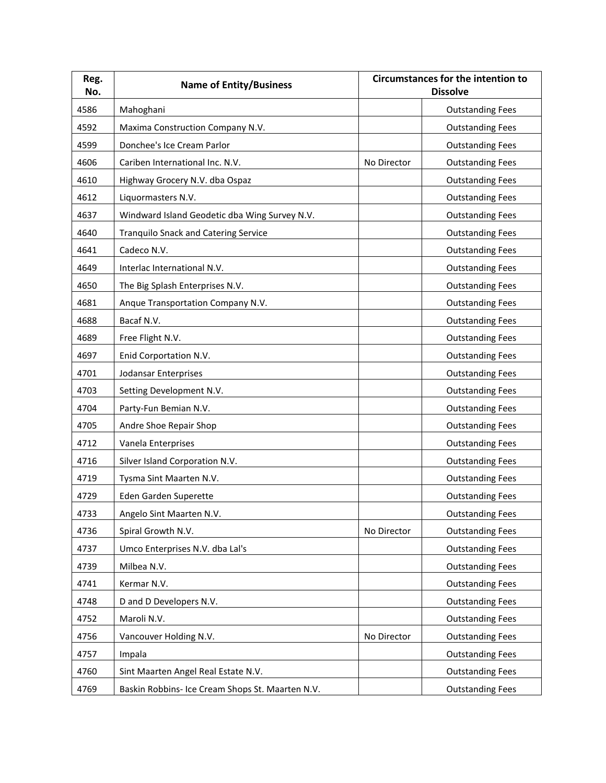| Reg.<br>No. | <b>Name of Entity/Business</b>                   |             | <b>Circumstances for the intention to</b><br><b>Dissolve</b> |
|-------------|--------------------------------------------------|-------------|--------------------------------------------------------------|
| 4586        | Mahoghani                                        |             | <b>Outstanding Fees</b>                                      |
| 4592        | Maxima Construction Company N.V.                 |             | <b>Outstanding Fees</b>                                      |
| 4599        | Donchee's Ice Cream Parlor                       |             | <b>Outstanding Fees</b>                                      |
| 4606        | Cariben International Inc. N.V.                  | No Director | <b>Outstanding Fees</b>                                      |
| 4610        | Highway Grocery N.V. dba Ospaz                   |             | <b>Outstanding Fees</b>                                      |
| 4612        | Liquormasters N.V.                               |             | <b>Outstanding Fees</b>                                      |
| 4637        | Windward Island Geodetic dba Wing Survey N.V.    |             | <b>Outstanding Fees</b>                                      |
| 4640        | <b>Tranquilo Snack and Catering Service</b>      |             | <b>Outstanding Fees</b>                                      |
| 4641        | Cadeco N.V.                                      |             | <b>Outstanding Fees</b>                                      |
| 4649        | Interlac International N.V.                      |             | <b>Outstanding Fees</b>                                      |
| 4650        | The Big Splash Enterprises N.V.                  |             | <b>Outstanding Fees</b>                                      |
| 4681        | Anque Transportation Company N.V.                |             | <b>Outstanding Fees</b>                                      |
| 4688        | Bacaf N.V.                                       |             | <b>Outstanding Fees</b>                                      |
| 4689        | Free Flight N.V.                                 |             | <b>Outstanding Fees</b>                                      |
| 4697        | Enid Corportation N.V.                           |             | <b>Outstanding Fees</b>                                      |
| 4701        | Jodansar Enterprises                             |             | <b>Outstanding Fees</b>                                      |
| 4703        | Setting Development N.V.                         |             | <b>Outstanding Fees</b>                                      |
| 4704        | Party-Fun Bemian N.V.                            |             | <b>Outstanding Fees</b>                                      |
| 4705        | Andre Shoe Repair Shop                           |             | <b>Outstanding Fees</b>                                      |
| 4712        | Vanela Enterprises                               |             | <b>Outstanding Fees</b>                                      |
| 4716        | Silver Island Corporation N.V.                   |             | <b>Outstanding Fees</b>                                      |
| 4719        | Tysma Sint Maarten N.V.                          |             | <b>Outstanding Fees</b>                                      |
| 4729        | Eden Garden Superette                            |             | <b>Outstanding Fees</b>                                      |
| 4733        | Angelo Sint Maarten N.V.                         |             | <b>Outstanding Fees</b>                                      |
| 4736        | Spiral Growth N.V.                               | No Director | <b>Outstanding Fees</b>                                      |
| 4737        | Umco Enterprises N.V. dba Lal's                  |             | <b>Outstanding Fees</b>                                      |
| 4739        | Milbea N.V.                                      |             | <b>Outstanding Fees</b>                                      |
| 4741        | Kermar N.V.                                      |             | <b>Outstanding Fees</b>                                      |
| 4748        | D and D Developers N.V.                          |             | <b>Outstanding Fees</b>                                      |
| 4752        | Maroli N.V.                                      |             | <b>Outstanding Fees</b>                                      |
| 4756        | Vancouver Holding N.V.                           | No Director | <b>Outstanding Fees</b>                                      |
| 4757        | Impala                                           |             | <b>Outstanding Fees</b>                                      |
| 4760        | Sint Maarten Angel Real Estate N.V.              |             | <b>Outstanding Fees</b>                                      |
| 4769        | Baskin Robbins- Ice Cream Shops St. Maarten N.V. |             | <b>Outstanding Fees</b>                                      |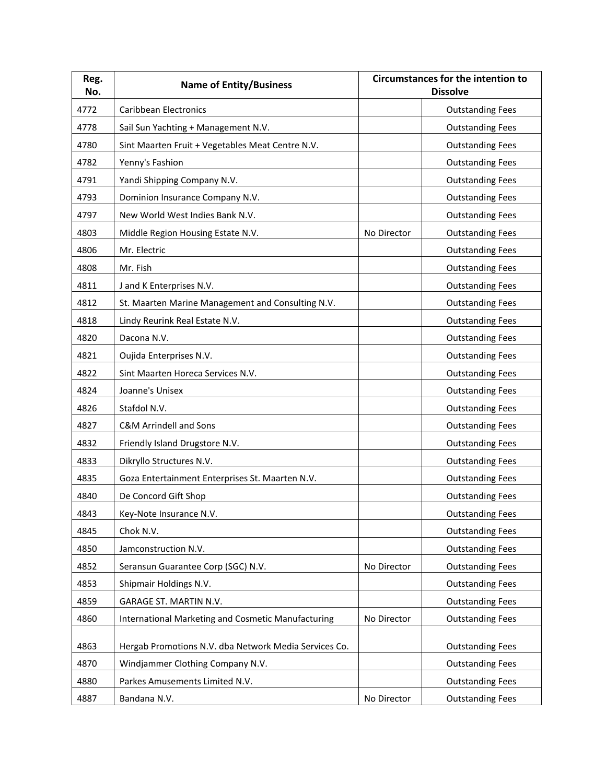| Reg.<br>No. | <b>Name of Entity/Business</b>                            |             | <b>Circumstances for the intention to</b><br><b>Dissolve</b> |
|-------------|-----------------------------------------------------------|-------------|--------------------------------------------------------------|
| 4772        | <b>Caribbean Electronics</b>                              |             | <b>Outstanding Fees</b>                                      |
| 4778        | Sail Sun Yachting + Management N.V.                       |             | <b>Outstanding Fees</b>                                      |
| 4780        | Sint Maarten Fruit + Vegetables Meat Centre N.V.          |             | <b>Outstanding Fees</b>                                      |
| 4782        | Yenny's Fashion                                           |             | <b>Outstanding Fees</b>                                      |
| 4791        | Yandi Shipping Company N.V.                               |             | <b>Outstanding Fees</b>                                      |
| 4793        | Dominion Insurance Company N.V.                           |             | <b>Outstanding Fees</b>                                      |
| 4797        | New World West Indies Bank N.V.                           |             | <b>Outstanding Fees</b>                                      |
| 4803        | Middle Region Housing Estate N.V.                         | No Director | <b>Outstanding Fees</b>                                      |
| 4806        | Mr. Electric                                              |             | <b>Outstanding Fees</b>                                      |
| 4808        | Mr. Fish                                                  |             | <b>Outstanding Fees</b>                                      |
| 4811        | J and K Enterprises N.V.                                  |             | <b>Outstanding Fees</b>                                      |
| 4812        | St. Maarten Marine Management and Consulting N.V.         |             | <b>Outstanding Fees</b>                                      |
| 4818        | Lindy Reurink Real Estate N.V.                            |             | <b>Outstanding Fees</b>                                      |
| 4820        | Dacona N.V.                                               |             | <b>Outstanding Fees</b>                                      |
| 4821        | Oujida Enterprises N.V.                                   |             | <b>Outstanding Fees</b>                                      |
| 4822        | Sint Maarten Horeca Services N.V.                         |             | <b>Outstanding Fees</b>                                      |
| 4824        | Joanne's Unisex                                           |             | <b>Outstanding Fees</b>                                      |
| 4826        | Stafdol N.V.                                              |             | <b>Outstanding Fees</b>                                      |
| 4827        | <b>C&amp;M Arrindell and Sons</b>                         |             | <b>Outstanding Fees</b>                                      |
| 4832        | Friendly Island Drugstore N.V.                            |             | <b>Outstanding Fees</b>                                      |
| 4833        | Dikryllo Structures N.V.                                  |             | <b>Outstanding Fees</b>                                      |
| 4835        | Goza Entertainment Enterprises St. Maarten N.V.           |             | <b>Outstanding Fees</b>                                      |
| 4840        | De Concord Gift Shop                                      |             | <b>Outstanding Fees</b>                                      |
| 4843        | Key-Note Insurance N.V.                                   |             | <b>Outstanding Fees</b>                                      |
| 4845        | Chok N.V.                                                 |             | <b>Outstanding Fees</b>                                      |
| 4850        | Jamconstruction N.V.                                      |             | <b>Outstanding Fees</b>                                      |
| 4852        | Seransun Guarantee Corp (SGC) N.V.                        | No Director | <b>Outstanding Fees</b>                                      |
| 4853        | Shipmair Holdings N.V.                                    |             | <b>Outstanding Fees</b>                                      |
| 4859        | GARAGE ST. MARTIN N.V.                                    |             | <b>Outstanding Fees</b>                                      |
| 4860        | <b>International Marketing and Cosmetic Manufacturing</b> | No Director | <b>Outstanding Fees</b>                                      |
|             |                                                           |             |                                                              |
| 4863        | Hergab Promotions N.V. dba Network Media Services Co.     |             | <b>Outstanding Fees</b>                                      |
| 4870        | Windjammer Clothing Company N.V.                          |             | <b>Outstanding Fees</b>                                      |
| 4880        | Parkes Amusements Limited N.V.                            |             | <b>Outstanding Fees</b>                                      |
| 4887        | Bandana N.V.                                              | No Director | <b>Outstanding Fees</b>                                      |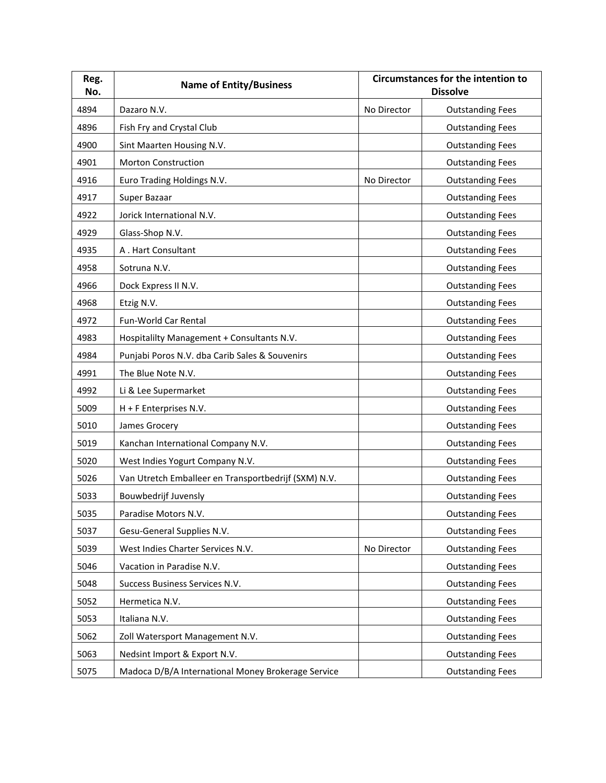| Reg.<br>No. | <b>Name of Entity/Business</b>                       |             | <b>Circumstances for the intention to</b><br><b>Dissolve</b> |
|-------------|------------------------------------------------------|-------------|--------------------------------------------------------------|
| 4894        | Dazaro N.V.                                          | No Director | <b>Outstanding Fees</b>                                      |
| 4896        | Fish Fry and Crystal Club                            |             | <b>Outstanding Fees</b>                                      |
| 4900        | Sint Maarten Housing N.V.                            |             | <b>Outstanding Fees</b>                                      |
| 4901        | <b>Morton Construction</b>                           |             | <b>Outstanding Fees</b>                                      |
| 4916        | Euro Trading Holdings N.V.                           | No Director | <b>Outstanding Fees</b>                                      |
| 4917        | Super Bazaar                                         |             | <b>Outstanding Fees</b>                                      |
| 4922        | Jorick International N.V.                            |             | <b>Outstanding Fees</b>                                      |
| 4929        | Glass-Shop N.V.                                      |             | <b>Outstanding Fees</b>                                      |
| 4935        | A. Hart Consultant                                   |             | <b>Outstanding Fees</b>                                      |
| 4958        | Sotruna N.V.                                         |             | <b>Outstanding Fees</b>                                      |
| 4966        | Dock Express II N.V.                                 |             | <b>Outstanding Fees</b>                                      |
| 4968        | Etzig N.V.                                           |             | <b>Outstanding Fees</b>                                      |
| 4972        | Fun-World Car Rental                                 |             | <b>Outstanding Fees</b>                                      |
| 4983        | Hospitalilty Management + Consultants N.V.           |             | <b>Outstanding Fees</b>                                      |
| 4984        | Punjabi Poros N.V. dba Carib Sales & Souvenirs       |             | <b>Outstanding Fees</b>                                      |
| 4991        | The Blue Note N.V.                                   |             | <b>Outstanding Fees</b>                                      |
| 4992        | Li & Lee Supermarket                                 |             | <b>Outstanding Fees</b>                                      |
| 5009        | H + F Enterprises N.V.                               |             | <b>Outstanding Fees</b>                                      |
| 5010        | James Grocery                                        |             | <b>Outstanding Fees</b>                                      |
| 5019        | Kanchan International Company N.V.                   |             | <b>Outstanding Fees</b>                                      |
| 5020        | West Indies Yogurt Company N.V.                      |             | <b>Outstanding Fees</b>                                      |
| 5026        | Van Utretch Emballeer en Transportbedrijf (SXM) N.V. |             | <b>Outstanding Fees</b>                                      |
| 5033        | Bouwbedrijf Juvensly                                 |             | <b>Outstanding Fees</b>                                      |
| 5035        | Paradise Motors N.V.                                 |             | <b>Outstanding Fees</b>                                      |
| 5037        | Gesu-General Supplies N.V.                           |             | <b>Outstanding Fees</b>                                      |
| 5039        | West Indies Charter Services N.V.                    | No Director | <b>Outstanding Fees</b>                                      |
| 5046        | Vacation in Paradise N.V.                            |             | <b>Outstanding Fees</b>                                      |
| 5048        | Success Business Services N.V.                       |             | <b>Outstanding Fees</b>                                      |
| 5052        | Hermetica N.V.                                       |             | <b>Outstanding Fees</b>                                      |
| 5053        | Italiana N.V.                                        |             | <b>Outstanding Fees</b>                                      |
| 5062        | Zoll Watersport Management N.V.                      |             | <b>Outstanding Fees</b>                                      |
| 5063        | Nedsint Import & Export N.V.                         |             | <b>Outstanding Fees</b>                                      |
| 5075        | Madoca D/B/A International Money Brokerage Service   |             | <b>Outstanding Fees</b>                                      |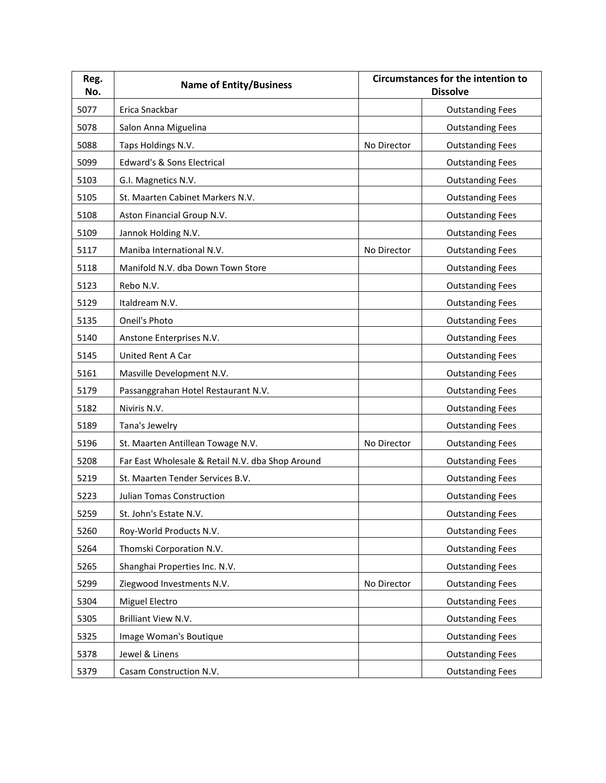| Reg.<br>No. | <b>Name of Entity/Business</b>                   |             | <b>Circumstances for the intention to</b><br><b>Dissolve</b> |
|-------------|--------------------------------------------------|-------------|--------------------------------------------------------------|
| 5077        | Erica Snackbar                                   |             | <b>Outstanding Fees</b>                                      |
| 5078        | Salon Anna Miguelina                             |             | <b>Outstanding Fees</b>                                      |
| 5088        | Taps Holdings N.V.                               | No Director | <b>Outstanding Fees</b>                                      |
| 5099        | <b>Edward's &amp; Sons Electrical</b>            |             | <b>Outstanding Fees</b>                                      |
| 5103        | G.I. Magnetics N.V.                              |             | <b>Outstanding Fees</b>                                      |
| 5105        | St. Maarten Cabinet Markers N.V.                 |             | <b>Outstanding Fees</b>                                      |
| 5108        | Aston Financial Group N.V.                       |             | <b>Outstanding Fees</b>                                      |
| 5109        | Jannok Holding N.V.                              |             | <b>Outstanding Fees</b>                                      |
| 5117        | Maniba International N.V.                        | No Director | <b>Outstanding Fees</b>                                      |
| 5118        | Manifold N.V. dba Down Town Store                |             | <b>Outstanding Fees</b>                                      |
| 5123        | Rebo N.V.                                        |             | <b>Outstanding Fees</b>                                      |
| 5129        | Italdream N.V.                                   |             | <b>Outstanding Fees</b>                                      |
| 5135        | Oneil's Photo                                    |             | <b>Outstanding Fees</b>                                      |
| 5140        | Anstone Enterprises N.V.                         |             | <b>Outstanding Fees</b>                                      |
| 5145        | United Rent A Car                                |             | <b>Outstanding Fees</b>                                      |
| 5161        | Masville Development N.V.                        |             | <b>Outstanding Fees</b>                                      |
| 5179        | Passanggrahan Hotel Restaurant N.V.              |             | <b>Outstanding Fees</b>                                      |
| 5182        | Niviris N.V.                                     |             | <b>Outstanding Fees</b>                                      |
| 5189        | Tana's Jewelry                                   |             | <b>Outstanding Fees</b>                                      |
| 5196        | St. Maarten Antillean Towage N.V.                | No Director | <b>Outstanding Fees</b>                                      |
| 5208        | Far East Wholesale & Retail N.V. dba Shop Around |             | <b>Outstanding Fees</b>                                      |
| 5219        | St. Maarten Tender Services B.V.                 |             | <b>Outstanding Fees</b>                                      |
| 5223        | Julian Tomas Construction                        |             | <b>Outstanding Fees</b>                                      |
| 5259        | St. John's Estate N.V.                           |             | <b>Outstanding Fees</b>                                      |
| 5260        | Roy-World Products N.V.                          |             | <b>Outstanding Fees</b>                                      |
| 5264        | Thomski Corporation N.V.                         |             | <b>Outstanding Fees</b>                                      |
| 5265        | Shanghai Properties Inc. N.V.                    |             | <b>Outstanding Fees</b>                                      |
| 5299        | Ziegwood Investments N.V.                        | No Director | <b>Outstanding Fees</b>                                      |
| 5304        | Miguel Electro                                   |             | <b>Outstanding Fees</b>                                      |
| 5305        | Brilliant View N.V.                              |             | <b>Outstanding Fees</b>                                      |
| 5325        | Image Woman's Boutique                           |             | <b>Outstanding Fees</b>                                      |
| 5378        | Jewel & Linens                                   |             | <b>Outstanding Fees</b>                                      |
| 5379        | Casam Construction N.V.                          |             | <b>Outstanding Fees</b>                                      |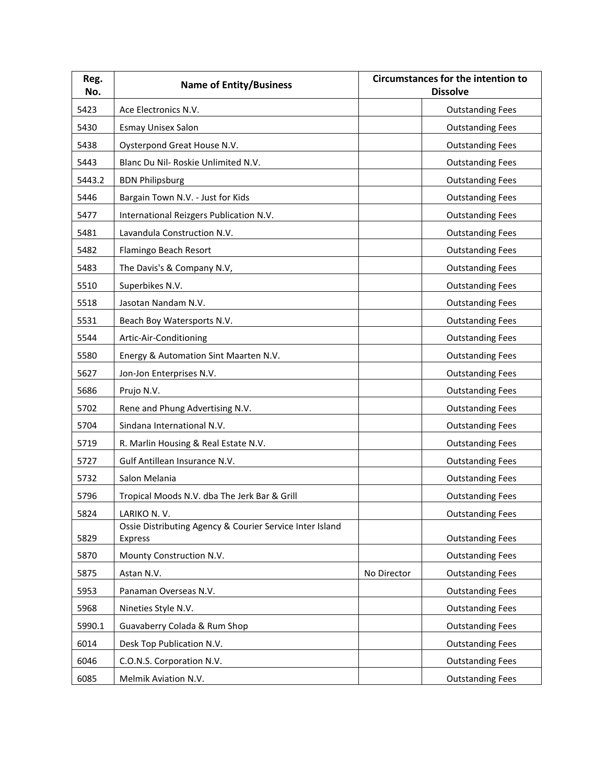| Reg.<br>No.                                                            | <b>Name of Entity/Business</b>                                                                                                                                                                                                                                                  |             | <b>Circumstances for the intention to</b><br><b>Dissolve</b>                                                                                                                                                                                    |
|------------------------------------------------------------------------|---------------------------------------------------------------------------------------------------------------------------------------------------------------------------------------------------------------------------------------------------------------------------------|-------------|-------------------------------------------------------------------------------------------------------------------------------------------------------------------------------------------------------------------------------------------------|
| 5423                                                                   | Ace Electronics N.V.                                                                                                                                                                                                                                                            |             | <b>Outstanding Fees</b>                                                                                                                                                                                                                         |
| 5430                                                                   | <b>Esmay Unisex Salon</b>                                                                                                                                                                                                                                                       |             | <b>Outstanding Fees</b>                                                                                                                                                                                                                         |
| 5438                                                                   | Oysterpond Great House N.V.                                                                                                                                                                                                                                                     |             | <b>Outstanding Fees</b>                                                                                                                                                                                                                         |
| 5443                                                                   | Blanc Du Nil- Roskie Unlimited N.V.                                                                                                                                                                                                                                             |             | <b>Outstanding Fees</b>                                                                                                                                                                                                                         |
| 5443.2                                                                 | <b>BDN Philipsburg</b>                                                                                                                                                                                                                                                          |             | <b>Outstanding Fees</b>                                                                                                                                                                                                                         |
| 5446                                                                   | Bargain Town N.V. - Just for Kids                                                                                                                                                                                                                                               |             | <b>Outstanding Fees</b>                                                                                                                                                                                                                         |
| 5477                                                                   | International Reizgers Publication N.V.                                                                                                                                                                                                                                         |             | <b>Outstanding Fees</b>                                                                                                                                                                                                                         |
| 5481                                                                   | Lavandula Construction N.V.                                                                                                                                                                                                                                                     |             | <b>Outstanding Fees</b>                                                                                                                                                                                                                         |
| 5482                                                                   | Flamingo Beach Resort                                                                                                                                                                                                                                                           |             | <b>Outstanding Fees</b>                                                                                                                                                                                                                         |
| 5483                                                                   | The Davis's & Company N.V,                                                                                                                                                                                                                                                      |             | <b>Outstanding Fees</b>                                                                                                                                                                                                                         |
| 5510                                                                   | Superbikes N.V.                                                                                                                                                                                                                                                                 |             | <b>Outstanding Fees</b>                                                                                                                                                                                                                         |
| 5518                                                                   | Jasotan Nandam N.V.                                                                                                                                                                                                                                                             |             | <b>Outstanding Fees</b>                                                                                                                                                                                                                         |
| 5531                                                                   | Beach Boy Watersports N.V.                                                                                                                                                                                                                                                      |             | <b>Outstanding Fees</b>                                                                                                                                                                                                                         |
| 5544                                                                   | Artic-Air-Conditioning                                                                                                                                                                                                                                                          |             | <b>Outstanding Fees</b>                                                                                                                                                                                                                         |
| 5580                                                                   | Energy & Automation Sint Maarten N.V.                                                                                                                                                                                                                                           |             | <b>Outstanding Fees</b>                                                                                                                                                                                                                         |
| 5627                                                                   | Jon-Jon Enterprises N.V.                                                                                                                                                                                                                                                        |             | <b>Outstanding Fees</b>                                                                                                                                                                                                                         |
| 5686                                                                   | Prujo N.V.                                                                                                                                                                                                                                                                      |             | <b>Outstanding Fees</b>                                                                                                                                                                                                                         |
| 5702                                                                   | Rene and Phung Advertising N.V.                                                                                                                                                                                                                                                 |             | <b>Outstanding Fees</b>                                                                                                                                                                                                                         |
| 5704                                                                   | Sindana International N.V.                                                                                                                                                                                                                                                      |             | <b>Outstanding Fees</b>                                                                                                                                                                                                                         |
| 5719                                                                   | R. Marlin Housing & Real Estate N.V.                                                                                                                                                                                                                                            |             | <b>Outstanding Fees</b>                                                                                                                                                                                                                         |
| 5727                                                                   | Gulf Antillean Insurance N.V.                                                                                                                                                                                                                                                   |             | <b>Outstanding Fees</b>                                                                                                                                                                                                                         |
| 5732                                                                   | Salon Melania                                                                                                                                                                                                                                                                   |             | <b>Outstanding Fees</b>                                                                                                                                                                                                                         |
| 5796                                                                   | Tropical Moods N.V. dba The Jerk Bar & Grill                                                                                                                                                                                                                                    |             | <b>Outstanding Fees</b>                                                                                                                                                                                                                         |
| 5824                                                                   | LARIKO N.V.                                                                                                                                                                                                                                                                     |             | <b>Outstanding Fees</b>                                                                                                                                                                                                                         |
|                                                                        |                                                                                                                                                                                                                                                                                 |             |                                                                                                                                                                                                                                                 |
|                                                                        |                                                                                                                                                                                                                                                                                 |             |                                                                                                                                                                                                                                                 |
|                                                                        |                                                                                                                                                                                                                                                                                 |             |                                                                                                                                                                                                                                                 |
|                                                                        |                                                                                                                                                                                                                                                                                 |             |                                                                                                                                                                                                                                                 |
|                                                                        |                                                                                                                                                                                                                                                                                 |             |                                                                                                                                                                                                                                                 |
|                                                                        |                                                                                                                                                                                                                                                                                 |             |                                                                                                                                                                                                                                                 |
|                                                                        |                                                                                                                                                                                                                                                                                 |             |                                                                                                                                                                                                                                                 |
|                                                                        |                                                                                                                                                                                                                                                                                 |             |                                                                                                                                                                                                                                                 |
|                                                                        |                                                                                                                                                                                                                                                                                 |             |                                                                                                                                                                                                                                                 |
| 5829<br>5870<br>5875<br>5953<br>5968<br>5990.1<br>6014<br>6046<br>6085 | Ossie Distributing Agency & Courier Service Inter Island<br>Express<br>Mounty Construction N.V.<br>Astan N.V.<br>Panaman Overseas N.V.<br>Nineties Style N.V.<br>Guavaberry Colada & Rum Shop<br>Desk Top Publication N.V.<br>C.O.N.S. Corporation N.V.<br>Melmik Aviation N.V. | No Director | <b>Outstanding Fees</b><br><b>Outstanding Fees</b><br><b>Outstanding Fees</b><br><b>Outstanding Fees</b><br><b>Outstanding Fees</b><br><b>Outstanding Fees</b><br><b>Outstanding Fees</b><br><b>Outstanding Fees</b><br><b>Outstanding Fees</b> |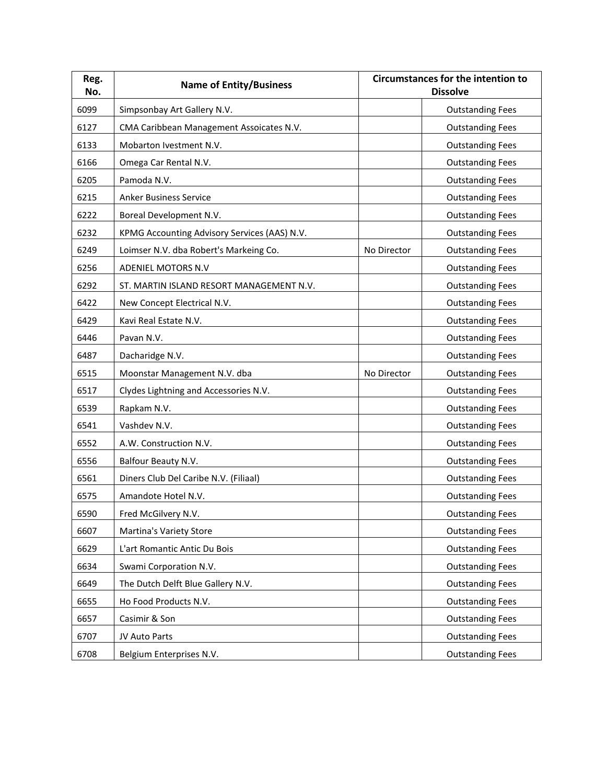| Reg.<br>No. | <b>Name of Entity/Business</b>               |             | <b>Circumstances for the intention to</b><br><b>Dissolve</b> |
|-------------|----------------------------------------------|-------------|--------------------------------------------------------------|
| 6099        | Simpsonbay Art Gallery N.V.                  |             | <b>Outstanding Fees</b>                                      |
| 6127        | CMA Caribbean Management Assoicates N.V.     |             | <b>Outstanding Fees</b>                                      |
| 6133        | Mobarton Ivestment N.V.                      |             | <b>Outstanding Fees</b>                                      |
| 6166        | Omega Car Rental N.V.                        |             | <b>Outstanding Fees</b>                                      |
| 6205        | Pamoda N.V.                                  |             | <b>Outstanding Fees</b>                                      |
| 6215        | <b>Anker Business Service</b>                |             | <b>Outstanding Fees</b>                                      |
| 6222        | Boreal Development N.V.                      |             | <b>Outstanding Fees</b>                                      |
| 6232        | KPMG Accounting Advisory Services (AAS) N.V. |             | <b>Outstanding Fees</b>                                      |
| 6249        | Loimser N.V. dba Robert's Markeing Co.       | No Director | <b>Outstanding Fees</b>                                      |
| 6256        | ADENIEL MOTORS N.V                           |             | <b>Outstanding Fees</b>                                      |
| 6292        | ST. MARTIN ISLAND RESORT MANAGEMENT N.V.     |             | <b>Outstanding Fees</b>                                      |
| 6422        | New Concept Electrical N.V.                  |             | <b>Outstanding Fees</b>                                      |
| 6429        | Kavi Real Estate N.V.                        |             | <b>Outstanding Fees</b>                                      |
| 6446        | Pavan N.V.                                   |             | <b>Outstanding Fees</b>                                      |
| 6487        | Dacharidge N.V.                              |             | <b>Outstanding Fees</b>                                      |
| 6515        | Moonstar Management N.V. dba                 | No Director | <b>Outstanding Fees</b>                                      |
| 6517        | Clydes Lightning and Accessories N.V.        |             | <b>Outstanding Fees</b>                                      |
| 6539        | Rapkam N.V.                                  |             | <b>Outstanding Fees</b>                                      |
| 6541        | Vashdev N.V.                                 |             | <b>Outstanding Fees</b>                                      |
| 6552        | A.W. Construction N.V.                       |             | <b>Outstanding Fees</b>                                      |
| 6556        | Balfour Beauty N.V.                          |             | <b>Outstanding Fees</b>                                      |
| 6561        | Diners Club Del Caribe N.V. (Filiaal)        |             | <b>Outstanding Fees</b>                                      |
| 6575        | Amandote Hotel N.V.                          |             | <b>Outstanding Fees</b>                                      |
| 6590        | Fred McGilvery N.V.                          |             | <b>Outstanding Fees</b>                                      |
| 6607        | Martina's Variety Store                      |             | <b>Outstanding Fees</b>                                      |
| 6629        | L'art Romantic Antic Du Bois                 |             | <b>Outstanding Fees</b>                                      |
| 6634        | Swami Corporation N.V.                       |             | <b>Outstanding Fees</b>                                      |
| 6649        | The Dutch Delft Blue Gallery N.V.            |             | <b>Outstanding Fees</b>                                      |
| 6655        | Ho Food Products N.V.                        |             | <b>Outstanding Fees</b>                                      |
| 6657        | Casimir & Son                                |             | <b>Outstanding Fees</b>                                      |
| 6707        | JV Auto Parts                                |             | <b>Outstanding Fees</b>                                      |
| 6708        | Belgium Enterprises N.V.                     |             | <b>Outstanding Fees</b>                                      |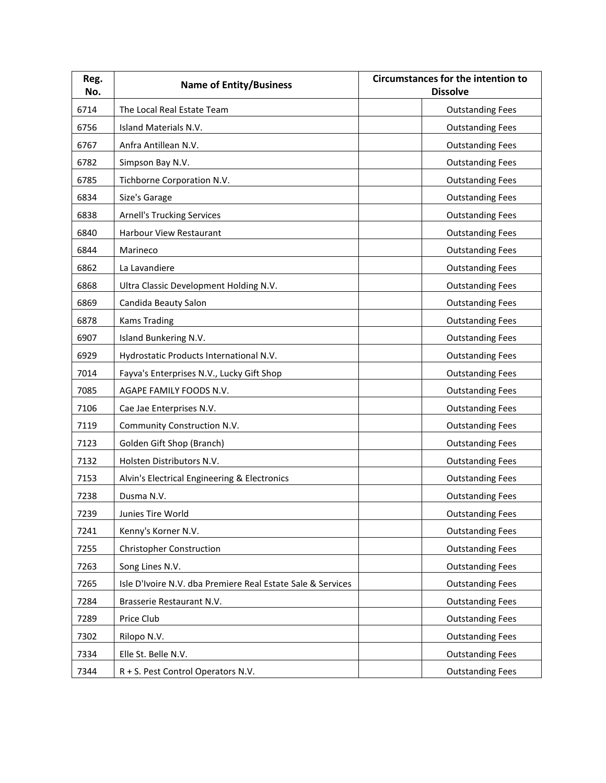| Reg.<br>No. | <b>Name of Entity/Business</b>                              | <b>Circumstances for the intention to</b><br><b>Dissolve</b> |
|-------------|-------------------------------------------------------------|--------------------------------------------------------------|
| 6714        | The Local Real Estate Team                                  | <b>Outstanding Fees</b>                                      |
| 6756        | Island Materials N.V.                                       | <b>Outstanding Fees</b>                                      |
| 6767        | Anfra Antillean N.V.                                        | <b>Outstanding Fees</b>                                      |
| 6782        | Simpson Bay N.V.                                            | <b>Outstanding Fees</b>                                      |
| 6785        | Tichborne Corporation N.V.                                  | <b>Outstanding Fees</b>                                      |
| 6834        | Size's Garage                                               | <b>Outstanding Fees</b>                                      |
| 6838        | <b>Arnell's Trucking Services</b>                           | <b>Outstanding Fees</b>                                      |
| 6840        | Harbour View Restaurant                                     | <b>Outstanding Fees</b>                                      |
| 6844        | Marineco                                                    | <b>Outstanding Fees</b>                                      |
| 6862        | La Lavandiere                                               | <b>Outstanding Fees</b>                                      |
| 6868        | Ultra Classic Development Holding N.V.                      | <b>Outstanding Fees</b>                                      |
| 6869        | Candida Beauty Salon                                        | <b>Outstanding Fees</b>                                      |
| 6878        | <b>Kams Trading</b>                                         | <b>Outstanding Fees</b>                                      |
| 6907        | Island Bunkering N.V.                                       | <b>Outstanding Fees</b>                                      |
| 6929        | Hydrostatic Products International N.V.                     | <b>Outstanding Fees</b>                                      |
| 7014        | Fayva's Enterprises N.V., Lucky Gift Shop                   | <b>Outstanding Fees</b>                                      |
| 7085        | AGAPE FAMILY FOODS N.V.                                     | <b>Outstanding Fees</b>                                      |
| 7106        | Cae Jae Enterprises N.V.                                    | <b>Outstanding Fees</b>                                      |
| 7119        | Community Construction N.V.                                 | <b>Outstanding Fees</b>                                      |
| 7123        | Golden Gift Shop (Branch)                                   | <b>Outstanding Fees</b>                                      |
| 7132        | Holsten Distributors N.V.                                   | <b>Outstanding Fees</b>                                      |
| 7153        | Alvin's Electrical Engineering & Electronics                | <b>Outstanding Fees</b>                                      |
| 7238        | Dusma N.V.                                                  | <b>Outstanding Fees</b>                                      |
| 7239        | Junies Tire World                                           | <b>Outstanding Fees</b>                                      |
| 7241        | Kenny's Korner N.V.                                         | <b>Outstanding Fees</b>                                      |
| 7255        | <b>Christopher Construction</b>                             | <b>Outstanding Fees</b>                                      |
| 7263        | Song Lines N.V.                                             | <b>Outstanding Fees</b>                                      |
| 7265        | Isle D'Ivoire N.V. dba Premiere Real Estate Sale & Services | <b>Outstanding Fees</b>                                      |
| 7284        | Brasserie Restaurant N.V.                                   | <b>Outstanding Fees</b>                                      |
| 7289        | Price Club                                                  | <b>Outstanding Fees</b>                                      |
| 7302        | Rilopo N.V.                                                 | <b>Outstanding Fees</b>                                      |
| 7334        | Elle St. Belle N.V.                                         | <b>Outstanding Fees</b>                                      |
| 7344        | R + S. Pest Control Operators N.V.                          | <b>Outstanding Fees</b>                                      |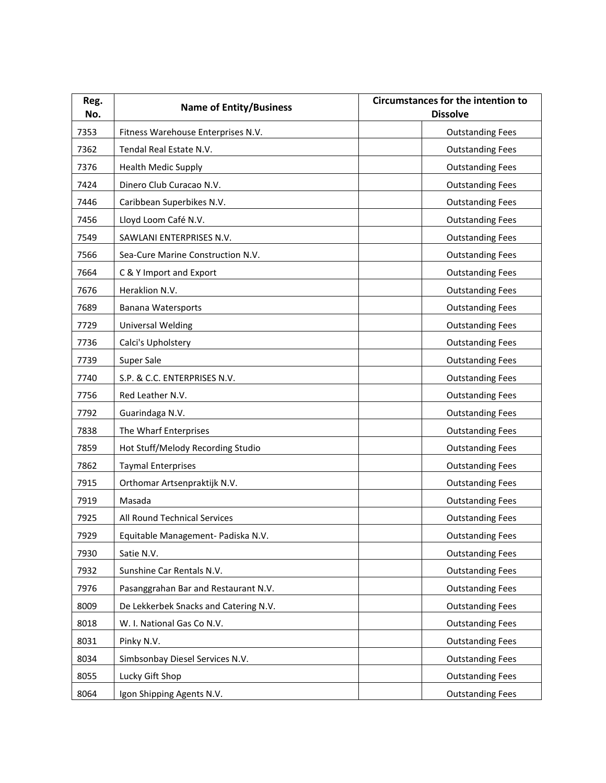| Reg.<br>No. | <b>Name of Entity/Business</b>        | <b>Circumstances for the intention to</b><br><b>Dissolve</b> |
|-------------|---------------------------------------|--------------------------------------------------------------|
| 7353        | Fitness Warehouse Enterprises N.V.    | <b>Outstanding Fees</b>                                      |
| 7362        | Tendal Real Estate N.V.               | <b>Outstanding Fees</b>                                      |
| 7376        | <b>Health Medic Supply</b>            | <b>Outstanding Fees</b>                                      |
| 7424        | Dinero Club Curacao N.V.              | <b>Outstanding Fees</b>                                      |
| 7446        | Caribbean Superbikes N.V.             | <b>Outstanding Fees</b>                                      |
| 7456        | Lloyd Loom Café N.V.                  | <b>Outstanding Fees</b>                                      |
| 7549        | SAWLANI ENTERPRISES N.V.              | <b>Outstanding Fees</b>                                      |
| 7566        | Sea-Cure Marine Construction N.V.     | <b>Outstanding Fees</b>                                      |
| 7664        | C & Y Import and Export               | <b>Outstanding Fees</b>                                      |
| 7676        | Heraklion N.V.                        | <b>Outstanding Fees</b>                                      |
| 7689        | <b>Banana Watersports</b>             | <b>Outstanding Fees</b>                                      |
| 7729        | Universal Welding                     | <b>Outstanding Fees</b>                                      |
| 7736        | Calci's Upholstery                    | <b>Outstanding Fees</b>                                      |
| 7739        | Super Sale                            | <b>Outstanding Fees</b>                                      |
| 7740        | S.P. & C.C. ENTERPRISES N.V.          | <b>Outstanding Fees</b>                                      |
| 7756        | Red Leather N.V.                      | <b>Outstanding Fees</b>                                      |
| 7792        | Guarindaga N.V.                       | <b>Outstanding Fees</b>                                      |
| 7838        | The Wharf Enterprises                 | <b>Outstanding Fees</b>                                      |
| 7859        | Hot Stuff/Melody Recording Studio     | <b>Outstanding Fees</b>                                      |
| 7862        | <b>Taymal Enterprises</b>             | <b>Outstanding Fees</b>                                      |
| 7915        | Orthomar Artsenpraktijk N.V.          | <b>Outstanding Fees</b>                                      |
| 7919        | Masada                                | <b>Outstanding Fees</b>                                      |
| 7925        | All Round Technical Services          | <b>Outstanding Fees</b>                                      |
| 7929        | Equitable Management- Padiska N.V.    | <b>Outstanding Fees</b>                                      |
| 7930        | Satie N.V.                            | <b>Outstanding Fees</b>                                      |
| 7932        | Sunshine Car Rentals N.V.             | <b>Outstanding Fees</b>                                      |
| 7976        | Pasanggrahan Bar and Restaurant N.V.  | <b>Outstanding Fees</b>                                      |
| 8009        | De Lekkerbek Snacks and Catering N.V. | <b>Outstanding Fees</b>                                      |
| 8018        | W. I. National Gas Co N.V.            | <b>Outstanding Fees</b>                                      |
| 8031        | Pinky N.V.                            | <b>Outstanding Fees</b>                                      |
| 8034        | Simbsonbay Diesel Services N.V.       | <b>Outstanding Fees</b>                                      |
| 8055        | Lucky Gift Shop                       | <b>Outstanding Fees</b>                                      |
| 8064        | Igon Shipping Agents N.V.             | <b>Outstanding Fees</b>                                      |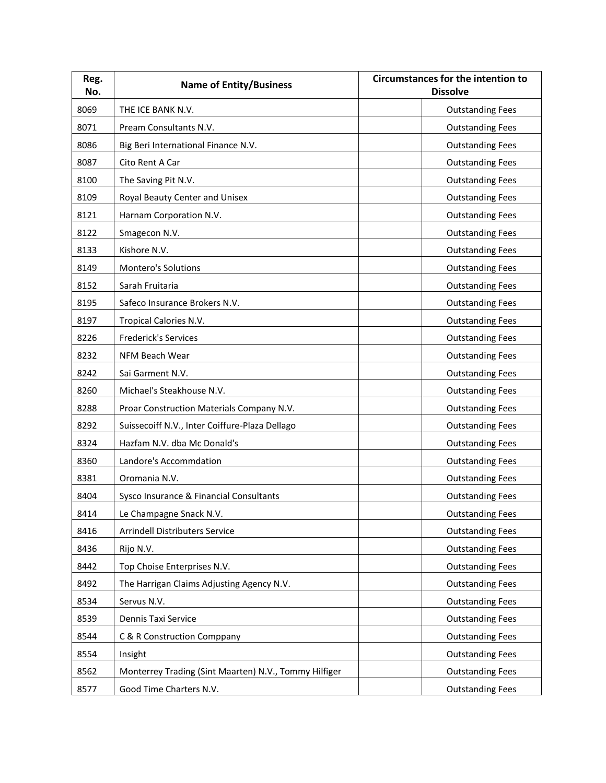| Reg.<br>No. | <b>Name of Entity/Business</b>                        | <b>Circumstances for the intention to</b><br><b>Dissolve</b> |
|-------------|-------------------------------------------------------|--------------------------------------------------------------|
| 8069        | THE ICE BANK N.V.                                     | <b>Outstanding Fees</b>                                      |
| 8071        | Pream Consultants N.V.                                | <b>Outstanding Fees</b>                                      |
| 8086        | Big Beri International Finance N.V.                   | <b>Outstanding Fees</b>                                      |
| 8087        | Cito Rent A Car                                       | <b>Outstanding Fees</b>                                      |
| 8100        | The Saving Pit N.V.                                   | <b>Outstanding Fees</b>                                      |
| 8109        | Royal Beauty Center and Unisex                        | <b>Outstanding Fees</b>                                      |
| 8121        | Harnam Corporation N.V.                               | <b>Outstanding Fees</b>                                      |
| 8122        | Smagecon N.V.                                         | <b>Outstanding Fees</b>                                      |
| 8133        | Kishore N.V.                                          | <b>Outstanding Fees</b>                                      |
| 8149        | Montero's Solutions                                   | <b>Outstanding Fees</b>                                      |
| 8152        | Sarah Fruitaria                                       | <b>Outstanding Fees</b>                                      |
| 8195        | Safeco Insurance Brokers N.V.                         | <b>Outstanding Fees</b>                                      |
| 8197        | Tropical Calories N.V.                                | <b>Outstanding Fees</b>                                      |
| 8226        | <b>Frederick's Services</b>                           | <b>Outstanding Fees</b>                                      |
| 8232        | NFM Beach Wear                                        | <b>Outstanding Fees</b>                                      |
| 8242        | Sai Garment N.V.                                      | <b>Outstanding Fees</b>                                      |
| 8260        | Michael's Steakhouse N.V.                             | <b>Outstanding Fees</b>                                      |
| 8288        | Proar Construction Materials Company N.V.             | <b>Outstanding Fees</b>                                      |
| 8292        | Suissecoiff N.V., Inter Coiffure-Plaza Dellago        | <b>Outstanding Fees</b>                                      |
| 8324        | Hazfam N.V. dba Mc Donald's                           | <b>Outstanding Fees</b>                                      |
| 8360        | Landore's Accommdation                                | <b>Outstanding Fees</b>                                      |
| 8381        | Oromania N.V.                                         | <b>Outstanding Fees</b>                                      |
| 8404        | Sysco Insurance & Financial Consultants               | <b>Outstanding Fees</b>                                      |
| 8414        | Le Champagne Snack N.V.                               | <b>Outstanding Fees</b>                                      |
| 8416        | Arrindell Distributers Service                        | <b>Outstanding Fees</b>                                      |
| 8436        | Rijo N.V.                                             | <b>Outstanding Fees</b>                                      |
| 8442        | Top Choise Enterprises N.V.                           | <b>Outstanding Fees</b>                                      |
| 8492        | The Harrigan Claims Adjusting Agency N.V.             | <b>Outstanding Fees</b>                                      |
| 8534        | Servus N.V.                                           | <b>Outstanding Fees</b>                                      |
| 8539        | Dennis Taxi Service                                   | <b>Outstanding Fees</b>                                      |
| 8544        | C & R Construction Comppany                           | <b>Outstanding Fees</b>                                      |
| 8554        | Insight                                               | <b>Outstanding Fees</b>                                      |
| 8562        | Monterrey Trading (Sint Maarten) N.V., Tommy Hilfiger | <b>Outstanding Fees</b>                                      |
| 8577        | Good Time Charters N.V.                               | <b>Outstanding Fees</b>                                      |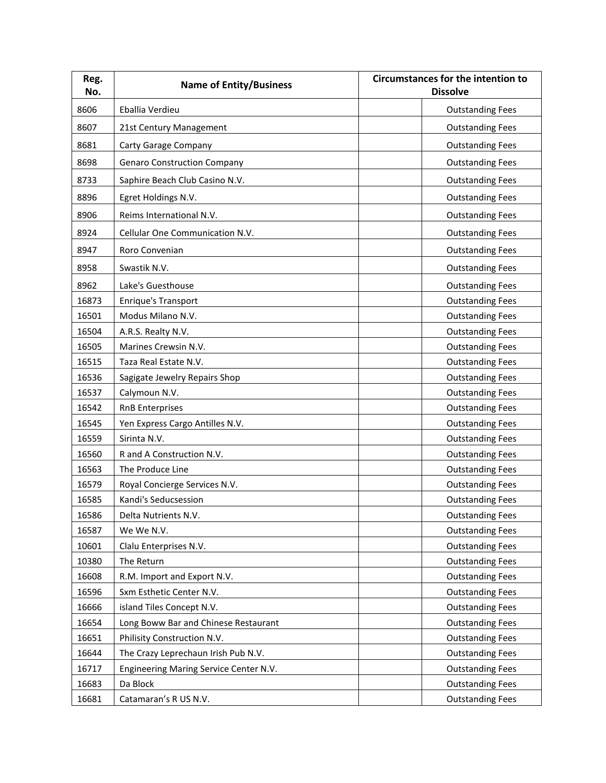| Reg.<br>No. | <b>Name of Entity/Business</b>         | <b>Circumstances for the intention to</b><br><b>Dissolve</b> |
|-------------|----------------------------------------|--------------------------------------------------------------|
| 8606        | Eballia Verdieu                        | <b>Outstanding Fees</b>                                      |
| 8607        | 21st Century Management                | <b>Outstanding Fees</b>                                      |
| 8681        | Carty Garage Company                   | <b>Outstanding Fees</b>                                      |
| 8698        | <b>Genaro Construction Company</b>     | <b>Outstanding Fees</b>                                      |
| 8733        | Saphire Beach Club Casino N.V.         | <b>Outstanding Fees</b>                                      |
| 8896        | Egret Holdings N.V.                    | <b>Outstanding Fees</b>                                      |
| 8906        | Reims International N.V.               | <b>Outstanding Fees</b>                                      |
|             |                                        |                                                              |
| 8924        | Cellular One Communication N.V.        | <b>Outstanding Fees</b>                                      |
| 8947        | Roro Convenian                         | <b>Outstanding Fees</b>                                      |
| 8958        | Swastik N.V.                           | <b>Outstanding Fees</b>                                      |
| 8962        | Lake's Guesthouse                      | <b>Outstanding Fees</b>                                      |
| 16873       | <b>Enrique's Transport</b>             | <b>Outstanding Fees</b>                                      |
| 16501       | Modus Milano N.V.                      | <b>Outstanding Fees</b>                                      |
| 16504       | A.R.S. Realty N.V.                     | <b>Outstanding Fees</b>                                      |
| 16505       | Marines Crewsin N.V.                   | <b>Outstanding Fees</b>                                      |
| 16515       | Taza Real Estate N.V.                  | <b>Outstanding Fees</b>                                      |
| 16536       | Sagigate Jewelry Repairs Shop          | <b>Outstanding Fees</b>                                      |
| 16537       | Calymoun N.V.                          | <b>Outstanding Fees</b>                                      |
| 16542       | <b>RnB Enterprises</b>                 | <b>Outstanding Fees</b>                                      |
| 16545       | Yen Express Cargo Antilles N.V.        | <b>Outstanding Fees</b>                                      |
| 16559       | Sirinta N.V.                           | <b>Outstanding Fees</b>                                      |
| 16560       | R and A Construction N.V.              | <b>Outstanding Fees</b>                                      |
| 16563       | The Produce Line                       | <b>Outstanding Fees</b>                                      |
| 16579       | Royal Concierge Services N.V.          | <b>Outstanding Fees</b>                                      |
| 16585       | Kandi's Seducsession                   | <b>Outstanding Fees</b>                                      |
| 16586       | Delta Nutrients N.V.                   | <b>Outstanding Fees</b>                                      |
| 16587       | We We N.V.                             | <b>Outstanding Fees</b>                                      |
| 10601       | Clalu Enterprises N.V.                 | <b>Outstanding Fees</b>                                      |
| 10380       | The Return                             | <b>Outstanding Fees</b>                                      |
| 16608       | R.M. Import and Export N.V.            | <b>Outstanding Fees</b>                                      |
| 16596       | Sxm Esthetic Center N.V.               | <b>Outstanding Fees</b>                                      |
| 16666       | island Tiles Concept N.V.              | <b>Outstanding Fees</b>                                      |
| 16654       | Long Boww Bar and Chinese Restaurant   | <b>Outstanding Fees</b>                                      |
| 16651       | Philisity Construction N.V.            | <b>Outstanding Fees</b>                                      |
| 16644       | The Crazy Leprechaun Irish Pub N.V.    | <b>Outstanding Fees</b>                                      |
| 16717       | Engineering Maring Service Center N.V. | <b>Outstanding Fees</b>                                      |
| 16683       | Da Block                               | <b>Outstanding Fees</b>                                      |
| 16681       | Catamaran's R US N.V.                  | <b>Outstanding Fees</b>                                      |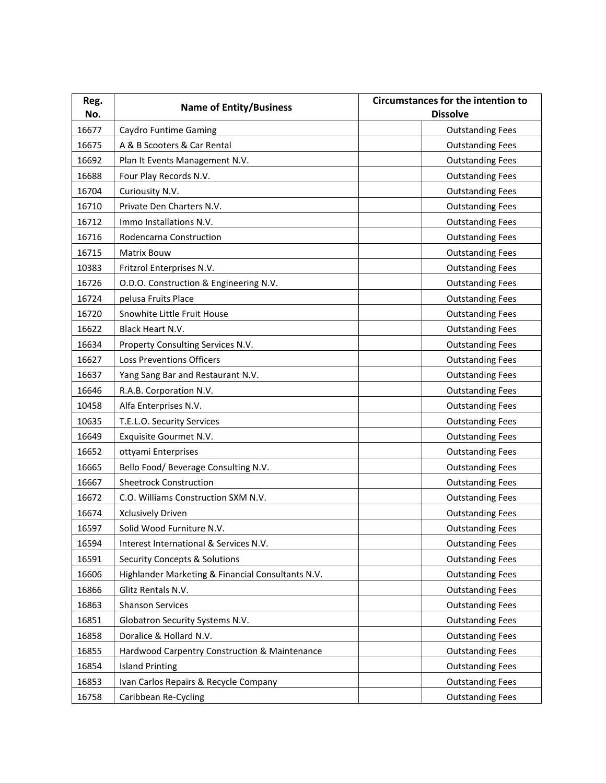| Reg.  | <b>Name of Entity/Business</b>                    | <b>Circumstances for the intention to</b> |
|-------|---------------------------------------------------|-------------------------------------------|
| No.   |                                                   | <b>Dissolve</b>                           |
| 16677 | Caydro Funtime Gaming                             | <b>Outstanding Fees</b>                   |
| 16675 | A & B Scooters & Car Rental                       | <b>Outstanding Fees</b>                   |
| 16692 | Plan It Events Management N.V.                    | <b>Outstanding Fees</b>                   |
| 16688 | Four Play Records N.V.                            | <b>Outstanding Fees</b>                   |
| 16704 | Curiousity N.V.                                   | <b>Outstanding Fees</b>                   |
| 16710 | Private Den Charters N.V.                         | <b>Outstanding Fees</b>                   |
| 16712 | Immo Installations N.V.                           | <b>Outstanding Fees</b>                   |
| 16716 | Rodencarna Construction                           | <b>Outstanding Fees</b>                   |
| 16715 | <b>Matrix Bouw</b>                                | <b>Outstanding Fees</b>                   |
| 10383 | Fritzrol Enterprises N.V.                         | <b>Outstanding Fees</b>                   |
| 16726 | O.D.O. Construction & Engineering N.V.            | <b>Outstanding Fees</b>                   |
| 16724 | pelusa Fruits Place                               | <b>Outstanding Fees</b>                   |
| 16720 | Snowhite Little Fruit House                       | <b>Outstanding Fees</b>                   |
| 16622 | Black Heart N.V.                                  | <b>Outstanding Fees</b>                   |
| 16634 | Property Consulting Services N.V.                 | <b>Outstanding Fees</b>                   |
| 16627 | <b>Loss Preventions Officers</b>                  | <b>Outstanding Fees</b>                   |
| 16637 | Yang Sang Bar and Restaurant N.V.                 | <b>Outstanding Fees</b>                   |
| 16646 | R.A.B. Corporation N.V.                           | <b>Outstanding Fees</b>                   |
| 10458 | Alfa Enterprises N.V.                             | <b>Outstanding Fees</b>                   |
| 10635 | T.E.L.O. Security Services                        | <b>Outstanding Fees</b>                   |
| 16649 | Exquisite Gourmet N.V.                            | <b>Outstanding Fees</b>                   |
| 16652 | ottyami Enterprises                               | <b>Outstanding Fees</b>                   |
| 16665 | Bello Food/ Beverage Consulting N.V.              | <b>Outstanding Fees</b>                   |
| 16667 | <b>Sheetrock Construction</b>                     | <b>Outstanding Fees</b>                   |
| 16672 | C.O. Williams Construction SXM N.V.               | <b>Outstanding Fees</b>                   |
| 16674 | <b>Xclusively Driven</b>                          | <b>Outstanding Fees</b>                   |
| 16597 | Solid Wood Furniture N.V.                         | <b>Outstanding Fees</b>                   |
| 16594 | Interest International & Services N.V.            | <b>Outstanding Fees</b>                   |
| 16591 | <b>Security Concepts &amp; Solutions</b>          | <b>Outstanding Fees</b>                   |
| 16606 | Highlander Marketing & Financial Consultants N.V. | <b>Outstanding Fees</b>                   |
| 16866 | Glitz Rentals N.V.                                | <b>Outstanding Fees</b>                   |
| 16863 | <b>Shanson Services</b>                           | <b>Outstanding Fees</b>                   |
| 16851 | Globatron Security Systems N.V.                   | <b>Outstanding Fees</b>                   |
| 16858 | Doralice & Hollard N.V.                           | <b>Outstanding Fees</b>                   |
| 16855 | Hardwood Carpentry Construction & Maintenance     | <b>Outstanding Fees</b>                   |
| 16854 | <b>Island Printing</b>                            | <b>Outstanding Fees</b>                   |
| 16853 | Ivan Carlos Repairs & Recycle Company             | <b>Outstanding Fees</b>                   |
| 16758 | Caribbean Re-Cycling                              | <b>Outstanding Fees</b>                   |